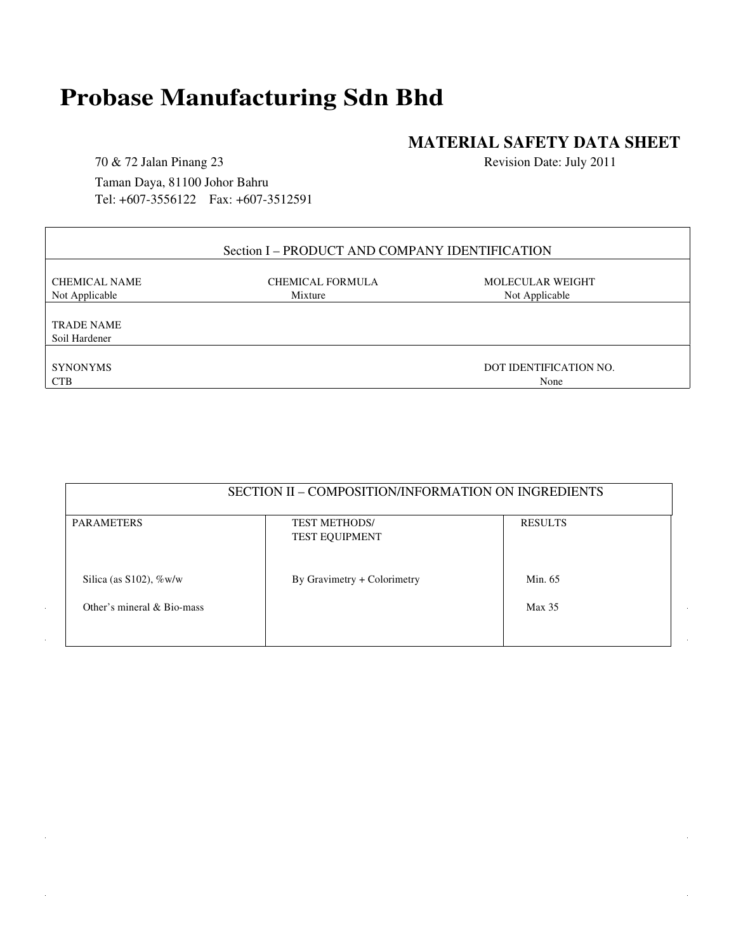# **Probase Manufacturing Sdn Bhd**

# **MATERIAL SAFETY DATA SHEET**

70 & 72 Jalan Pinang 23 Taman Daya, 81100 Johor Bahru Tel: +607-3556122 Fax: +607-3512591 Revision Date: July 2011

| Section I – PRODUCT AND COMPANY IDENTIFICATION |                         |                         |  |  |
|------------------------------------------------|-------------------------|-------------------------|--|--|
| <b>CHEMICAL NAME</b>                           | <b>CHEMICAL FORMULA</b> | <b>MOLECULAR WEIGHT</b> |  |  |
| Not Applicable                                 | Mixture                 | Not Applicable          |  |  |
| <b>TRADE NAME</b>                              |                         |                         |  |  |
| Soil Hardener                                  |                         |                         |  |  |
| <b>SYNONYMS</b>                                |                         | DOT IDENTIFICATION NO.  |  |  |
| <b>CTB</b>                                     |                         | None                    |  |  |

| SECTION II – COMPOSITION/INFORMATION ON INGREDIENTS |                                               |                |  |  |  |
|-----------------------------------------------------|-----------------------------------------------|----------------|--|--|--|
| <b>PARAMETERS</b>                                   | <b>TEST METHODS/</b><br><b>TEST EQUIPMENT</b> | <b>RESULTS</b> |  |  |  |
| Silica (as $S102$ ), $\%$ w/w                       | By Gravimetry + Colorimetry                   | Min. 65        |  |  |  |
| Other's mineral $& Bio-mass$                        |                                               | Max 35         |  |  |  |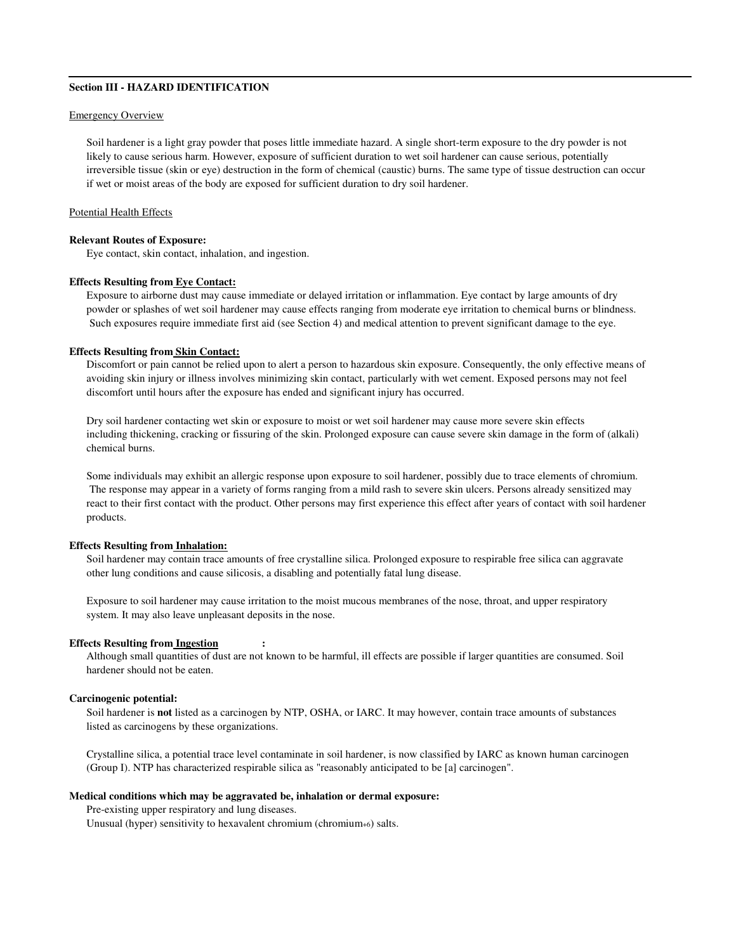# **Section III - HAZARD IDENTIFICATION**

# Emergency Overview

Soil hardener is a light gray powder that poses little immediate hazard. A single short-term exposure to the dry powder is not likely to cause serious harm. However, exposure of sufficient duration to wet soil hardener can cause serious, potentially irreversible tissue (skin or eye) destruction in the form of chemical (caustic) burns. The same type of tissue destruction can occur if wet or moist areas of the body are exposed for sufficient duration to dry soil hardener.

### Potential Health Effects

#### **Relevant Routes of Exposure:**

Eye contact, skin contact, inhalation, and ingestion.

# **Effects Resulting from Eye Contact:**

Exposure to airborne dust may cause immediate or delayed irritation or inflammation. Eye contact by large amounts of dry powder or splashes of wet soil hardener may cause effects ranging from moderate eye irritation to chemical burns or blindness. Such exposures require immediate first aid (see Section 4) and medical attention to prevent significant damage to the eye.

#### **Effects Resulting from Skin Contact:**

Discomfort or pain cannot be relied upon to alert a person to hazardous skin exposure. Consequently, the only effective means of avoiding skin injury or illness involves minimizing skin contact, particularly with wet cement. Exposed persons may not feel discomfort until hours after the exposure has ended and significant injury has occurred.

Dry soil hardener contacting wet skin or exposure to moist or wet soil hardener may cause more severe skin effects including thickening, cracking or fissuring of the skin. Prolonged exposure can cause severe skin damage in the form of (alkali) chemical burns.

Some individuals may exhibit an allergic response upon exposure to soil hardener, possibly due to trace elements of chromium. The response may appear in a variety of forms ranging from a mild rash to severe skin ulcers. Persons already sensitized may react to their first contact with the product. Other persons may first experience this effect after years of contact with soil hardener products.

#### **Effects Resulting from Inhalation:**

Soil hardener may contain trace amounts of free crystalline silica. Prolonged exposure to respirable free silica can aggravate other lung conditions and cause silicosis, a disabling and potentially fatal lung disease.

Exposure to soil hardener may cause irritation to the moist mucous membranes of the nose, throat, and upper respiratory system. It may also leave unpleasant deposits in the nose.

#### **Effects Resulting from Ingestion :**

Although small quantities of dust are not known to be harmful, ill effects are possible if larger quantities are consumed. Soil hardener should not be eaten.

# **Carcinogenic potential:**

Soil hardener is **not** listed as a carcinogen by NTP, OSHA, or IARC. It may however, contain trace amounts of substances listed as carcinogens by these organizations.

Crystalline silica, a potential trace level contaminate in soil hardener, is now classified by IARC as known human carcinogen (Group I). NTP has characterized respirable silica as "reasonably anticipated to be [a] carcinogen".

#### **Medical conditions which may be aggravated be, inhalation or dermal exposure:**

Pre-existing upper respiratory and lung diseases.

Unusual (hyper) sensitivity to hexavalent chromium (chromium+6) salts.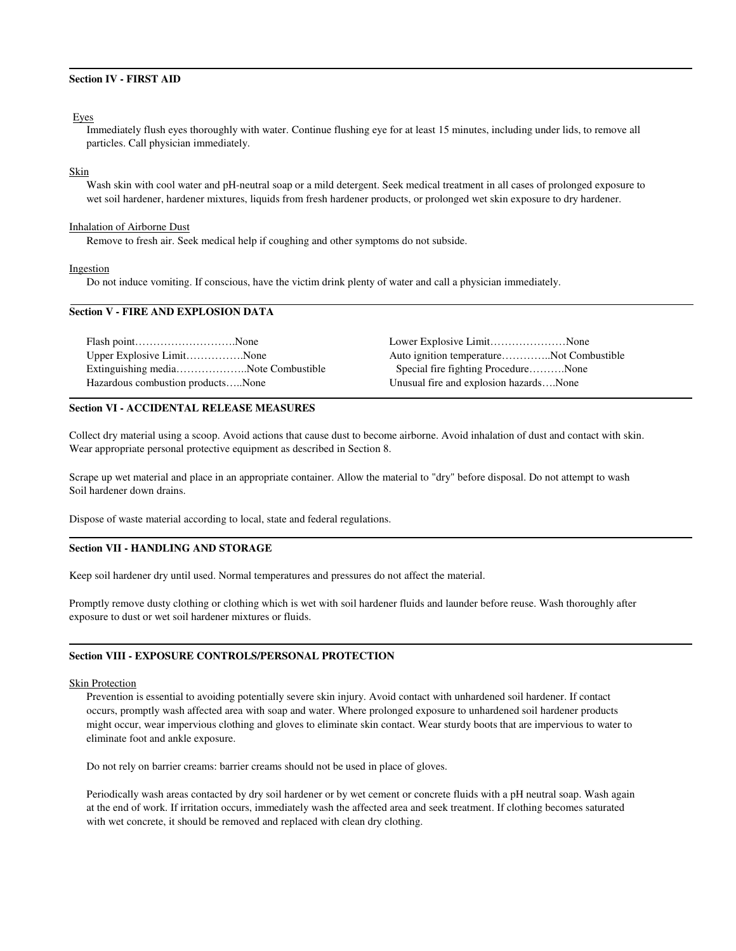# **Section IV - FIRST AID**

#### Eyes

 Immediately flush eyes thoroughly with water. Continue flushing eye for at least 15 minutes, including under lids, to remove all particles. Call physician immediately.

# Skin

Wash skin with cool water and pH-neutral soap or a mild detergent. Seek medical treatment in all cases of prolonged exposure to wet soil hardener, hardener mixtures, liquids from fresh hardener products, or prolonged wet skin exposure to dry hardener.

#### Inhalation of Airborne Dust

Remove to fresh air. Seek medical help if coughing and other symptoms do not subside.

#### Ingestion

Do not induce vomiting. If conscious, have the victim drink plenty of water and call a physician immediately.

# **Section V - FIRE AND EXPLOSION DATA**

|                                   | Lower Explosive LimitNone                |  |
|-----------------------------------|------------------------------------------|--|
| Upper Explosive LimitNone         | Auto ignition temperatureNot Combustible |  |
|                                   | Special fire fighting ProcedureNone      |  |
| Hazardous combustion productsNone | Unusual fire and explosion hazardsNone   |  |

### **Section VI - ACCIDENTAL RELEASE MEASURES**

Collect dry material using a scoop. Avoid actions that cause dust to become airborne. Avoid inhalation of dust and contact with skin. Wear appropriate personal protective equipment as described in Section 8.

Scrape up wet material and place in an appropriate container. Allow the material to "dry" before disposal. Do not attempt to wash Soil hardener down drains.

Dispose of waste material according to local, state and federal regulations.

# **Section VII - HANDLING AND STORAGE**

Keep soil hardener dry until used. Normal temperatures and pressures do not affect the material.

Promptly remove dusty clothing or clothing which is wet with soil hardener fluids and launder before reuse. Wash thoroughly after exposure to dust or wet soil hardener mixtures or fluids.

#### **Section VIII - EXPOSURE CONTROLS/PERSONAL PROTECTION**

#### Skin Protection

Prevention is essential to avoiding potentially severe skin injury. Avoid contact with unhardened soil hardener. If contact occurs, promptly wash affected area with soap and water. Where prolonged exposure to unhardened soil hardener products might occur, wear impervious clothing and gloves to eliminate skin contact. Wear sturdy boots that are impervious to water to eliminate foot and ankle exposure.

Do not rely on barrier creams: barrier creams should not be used in place of gloves.

Periodically wash areas contacted by dry soil hardener or by wet cement or concrete fluids with a pH neutral soap. Wash again at the end of work. If irritation occurs, immediately wash the affected area and seek treatment. If clothing becomes saturated with wet concrete, it should be removed and replaced with clean dry clothing.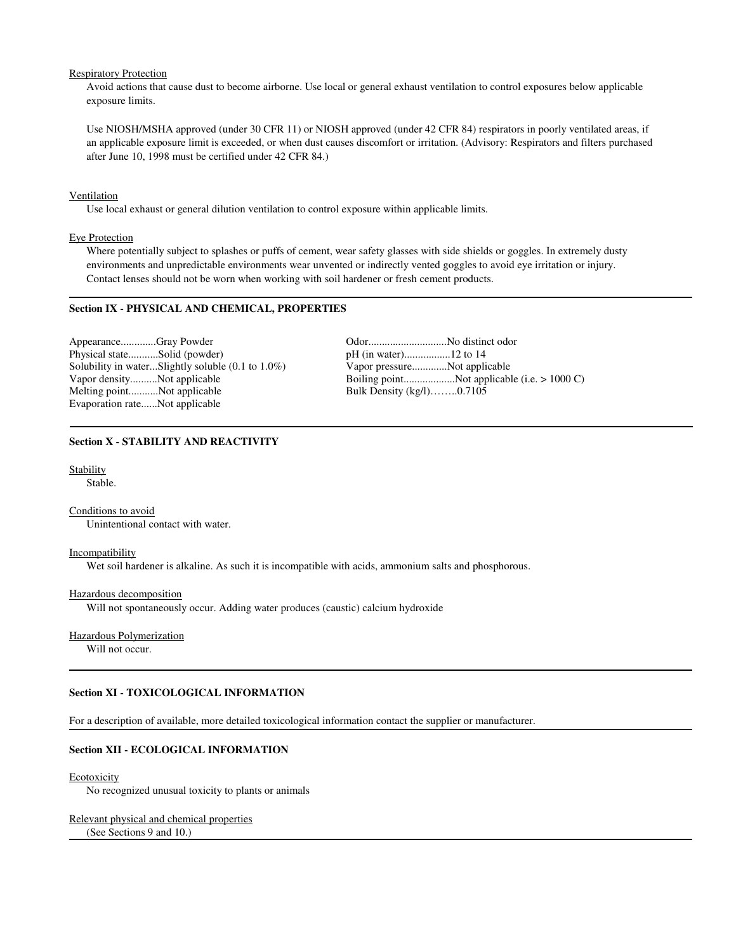# Respiratory Protection

Avoid actions that cause dust to become airborne. Use local or general exhaust ventilation to control exposures below applicable exposure limits.

Use NIOSH/MSHA approved (under 30 CFR 11) or NIOSH approved (under 42 CFR 84) respirators in poorly ventilated areas, if an applicable exposure limit is exceeded, or when dust causes discomfort or irritation. (Advisory: Respirators and filters purchased after June 10, 1998 must be certified under 42 CFR 84.)

#### Ventilation

Use local exhaust or general dilution ventilation to control exposure within applicable limits.

# Eye Protection

Where potentially subject to splashes or puffs of cement, wear safety glasses with side shields or goggles. In extremely dusty environments and unpredictable environments wear unvented or indirectly vented goggles to avoid eye irritation or injury. Contact lenses should not be worn when working with soil hardener or fresh cement products.

# **Section IX - PHYSICAL AND CHEMICAL, PROPERTIES**

Appearance.............Gray Powder Odor.............................No distinct odor Physical state...........Solid (powder) pH (in water).................12 to 14 Solubility in water...Slightly soluble  $(0.1$  to  $1.0\%)$ Melting point...........Not applicable Evaporation rate......Not applicable

Vapor density..........Not applicable Boiling point...................Not applicable (i.e. > 1000 C)

# **Section X - STABILITY AND REACTIVITY**

Stability

Stable.

Conditions to avoid Unintentional contact with water.

#### **Incompatibility**

Wet soil hardener is alkaline. As such it is incompatible with acids, ammonium salts and phosphorous.

#### Hazardous decomposition

Will not spontaneously occur. Adding water produces (caustic) calcium hydroxide

# Hazardous Polymerization

Will not occur.

# **Section XI - TOXICOLOGICAL INFORMATION**

For a description of available, more detailed toxicological information contact the supplier or manufacturer.

# **Section XII - ECOLOGICAL INFORMATION**

#### Ecotoxicity

No recognized unusual toxicity to plants or animals

### Relevant physical and chemical properties

(See Sections 9 and 10.)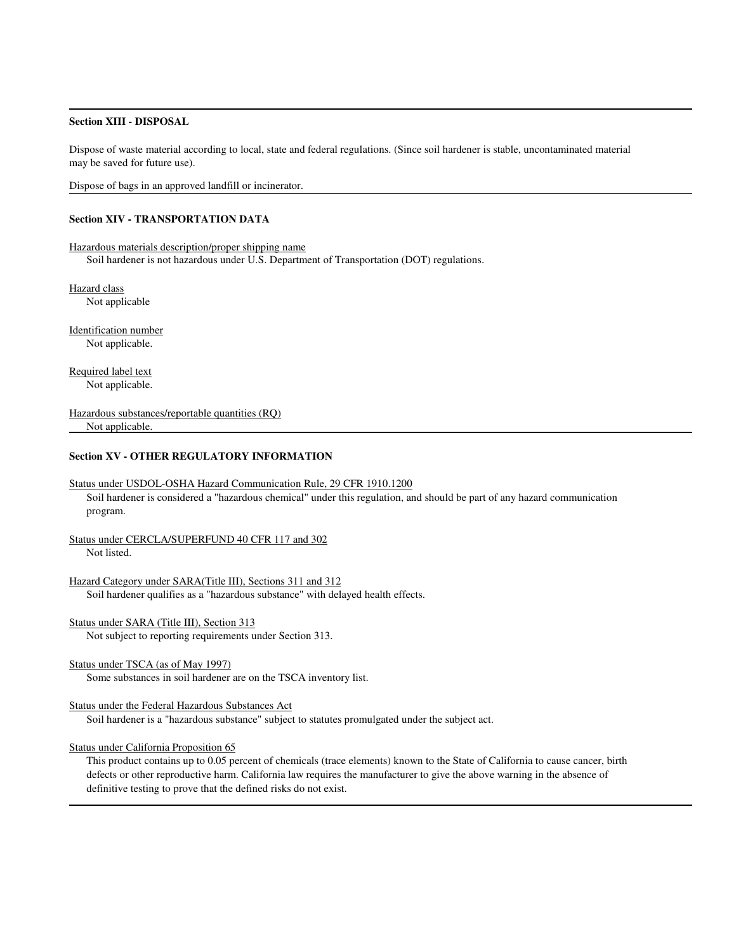# **Section XIII - DISPOSAL**

Dispose of waste material according to local, state and federal regulations. (Since soil hardener is stable, uncontaminated material may be saved for future use).

Dispose of bags in an approved landfill or incinerator.

# **Section XIV - TRANSPORTATION DATA**

Hazardous materials description/proper shipping name Soil hardener is not hazardous under U.S. Department of Transportation (DOT) regulations.

Hazard class Not applicable

Identification number Not applicable.

Required label text Not applicable.

Hazardous substances/reportable quantities (RQ) Not applicable.

# **Section XV - OTHER REGULATORY INFORMATION**

#### Status under USDOL-OSHA Hazard Communication Rule, 29 CFR 1910.1200

Soil hardener is considered a "hazardous chemical" under this regulation, and should be part of any hazard communication program.

Status under CERCLA/SUPERFUND 40 CFR 117 and 302 Not listed.

Hazard Category under SARA(Title III), Sections 311 and 312 Soil hardener qualifies as a "hazardous substance" with delayed health effects.

Status under SARA (Title III), Section 313

Not subject to reporting requirements under Section 313.

#### Status under TSCA (as of May 1997)

Some substances in soil hardener are on the TSCA inventory list.

#### Status under the Federal Hazardous Substances Act

Soil hardener is a "hazardous substance" subject to statutes promulgated under the subject act.

# Status under California Proposition 65

This product contains up to 0.05 percent of chemicals (trace elements) known to the State of California to cause cancer, birth defects or other reproductive harm. California law requires the manufacturer to give the above warning in the absence of definitive testing to prove that the defined risks do not exist.